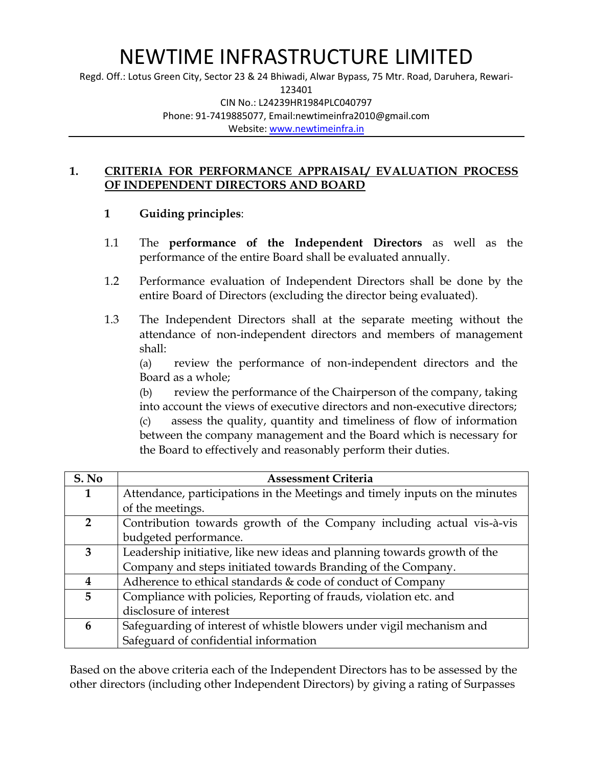### NEWTIME INFRASTRUCTURE LIMITED

Regd. Off.: Lotus Green City, Sector 23 & 24 Bhiwadi, Alwar Bypass, 75 Mtr. Road, Daruhera, Rewari-123401 CIN No.: L24239HR1984PLC040797 Phone: 91-7419885077, Email:newtimeinfra2010@gmail.com Website: [www.newtimeinfra.in](http://www.newtimeinfra.in/)

#### **1. CRITERIA FOR PERFORMANCE APPRAISAL/ EVALUATION PROCESS OF INDEPENDENT DIRECTORS AND BOARD**

#### **1 Guiding principles**:

- 1.1 The **performance of the Independent Directors** as well as the performance of the entire Board shall be evaluated annually.
- 1.2 Performance evaluation of Independent Directors shall be done by the entire Board of Directors (excluding the director being evaluated).
- 1.3 The Independent Directors shall at the separate meeting without the attendance of non-independent directors and members of management shall:

(a) review the performance of non-independent directors and the Board as a whole;

(b) review the performance of the Chairperson of the company, taking into account the views of executive directors and non-executive directors;

assess the quality, quantity and timeliness of flow of information between the company management and the Board which is necessary for the Board to effectively and reasonably perform their duties.

| S. No          | <b>Assessment Criteria</b>                                                  |
|----------------|-----------------------------------------------------------------------------|
| 1              | Attendance, participations in the Meetings and timely inputs on the minutes |
|                | of the meetings.                                                            |
| $\overline{2}$ | Contribution towards growth of the Company including actual vis-à-vis       |
|                | budgeted performance.                                                       |
| 3              | Leadership initiative, like new ideas and planning towards growth of the    |
|                | Company and steps initiated towards Branding of the Company.                |
|                | Adherence to ethical standards & code of conduct of Company                 |
| 5              | Compliance with policies, Reporting of frauds, violation etc. and           |
|                | disclosure of interest                                                      |
| 6              | Safeguarding of interest of whistle blowers under vigil mechanism and       |
|                | Safeguard of confidential information                                       |

Based on the above criteria each of the Independent Directors has to be assessed by the other directors (including other Independent Directors) by giving a rating of Surpasses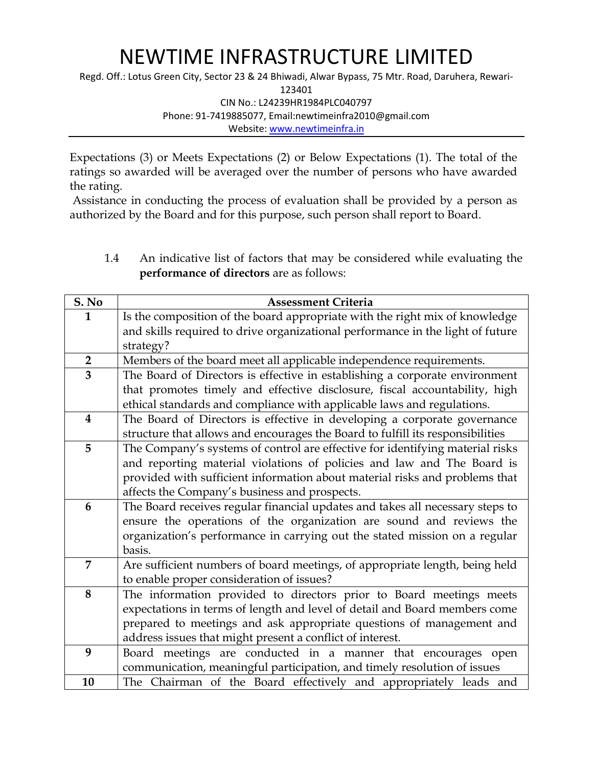# NEWTIME INFRASTRUCTURE LIMITED

Regd. Off.: Lotus Green City, Sector 23 & 24 Bhiwadi, Alwar Bypass, 75 Mtr. Road, Daruhera, Rewari-123401 CIN No.: L24239HR1984PLC040797 Phone: 91-7419885077, Email:newtimeinfra2010@gmail.com Website: [www.newtimeinfra.in](http://www.newtimeinfra.in/)

Expectations (3) or Meets Expectations (2) or Below Expectations (1). The total of the ratings so awarded will be averaged over the number of persons who have awarded the rating.

Assistance in conducting the process of evaluation shall be provided by a person as authorized by the Board and for this purpose, such person shall report to Board.

1.4 An indicative list of factors that may be considered while evaluating the **performance of directors** are as follows:

| S. No                   | <b>Assessment Criteria</b>                                                     |
|-------------------------|--------------------------------------------------------------------------------|
| $\mathbf{1}$            | Is the composition of the board appropriate with the right mix of knowledge    |
|                         | and skills required to drive organizational performance in the light of future |
|                         | strategy?                                                                      |
| $\overline{2}$          | Members of the board meet all applicable independence requirements.            |
| 3                       | The Board of Directors is effective in establishing a corporate environment    |
|                         | that promotes timely and effective disclosure, fiscal accountability, high     |
|                         | ethical standards and compliance with applicable laws and regulations.         |
| $\overline{\mathbf{4}}$ | The Board of Directors is effective in developing a corporate governance       |
|                         | structure that allows and encourages the Board to fulfill its responsibilities |
| 5                       | The Company's systems of control are effective for identifying material risks  |
|                         | and reporting material violations of policies and law and The Board is         |
|                         | provided with sufficient information about material risks and problems that    |
|                         | affects the Company's business and prospects.                                  |
| 6                       | The Board receives regular financial updates and takes all necessary steps to  |
|                         | ensure the operations of the organization are sound and reviews the            |
|                         | organization's performance in carrying out the stated mission on a regular     |
|                         | basis.                                                                         |
| 7                       | Are sufficient numbers of board meetings, of appropriate length, being held    |
|                         | to enable proper consideration of issues?                                      |
| 8                       | The information provided to directors prior to Board meetings meets            |
|                         | expectations in terms of length and level of detail and Board members come     |
|                         | prepared to meetings and ask appropriate questions of management and           |
|                         | address issues that might present a conflict of interest.                      |
| 9                       | Board meetings are conducted in a manner that encourages open                  |
|                         | communication, meaningful participation, and timely resolution of issues       |
| 10                      | The Chairman of the Board effectively and appropriately leads and              |